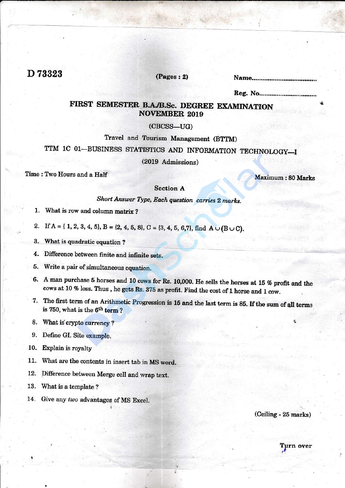## D 73323

#### $(Pages: 2)$

# FIRST SEMESTER B.A./B.Sc. DEGREE EXAMINATION **NOVEMBER 2019**

 $(CBCSS-UG)$ 

Travel and Tourism Management (BTTM)

TTM 1C 01-BUSINESS STATISTICS AND INFORMATION TECHNOLOGY-I

(2019 Admissions)

Time: Two Hours and a Half

Maximum: 80 Marks

#### **Section A**

Short Answer Type, Each question carries 2 marks.

- 1. What is row and column matrix?
- 2. If  $A = \{ 1, 2, 3, 4, 5 \}$ ,  $B = \{2, 4, 5, 8 \}$ ,  $C = \{3, 4, 5, 6, 7 \}$ , find  $A \cup (B \cup C)$ .
- 3. What is quadratic equation?
- 4. Difference between finite and infinite sets.
- 5. Write a pair of simultaneous equation.
- 6. A man purchase 5 horses and 10 cows for Rs. 10,000. He sells the horses at 15 % profit and the cows at 10 % loss. Thus, he gets Rs. 375 as profit. Find the cost of 1 horse and 1 cow.
- 7. The first term of an Arithmetic Progression is 15 and the last term is 85. If the sum of all terms is 750, what is the 6<sup>th</sup> term?
- 8. What is crypto currency?
- 9. Define GI. Site example.
- 10. Explain is royalty
- 11. What are the contents in insert tab in MS word.
- 12. Difference between Merge cell and wrap text.
- 13. What is a template?
- 14. Give any two advantages of MS Excel.

(Ceiling - 25 marks)